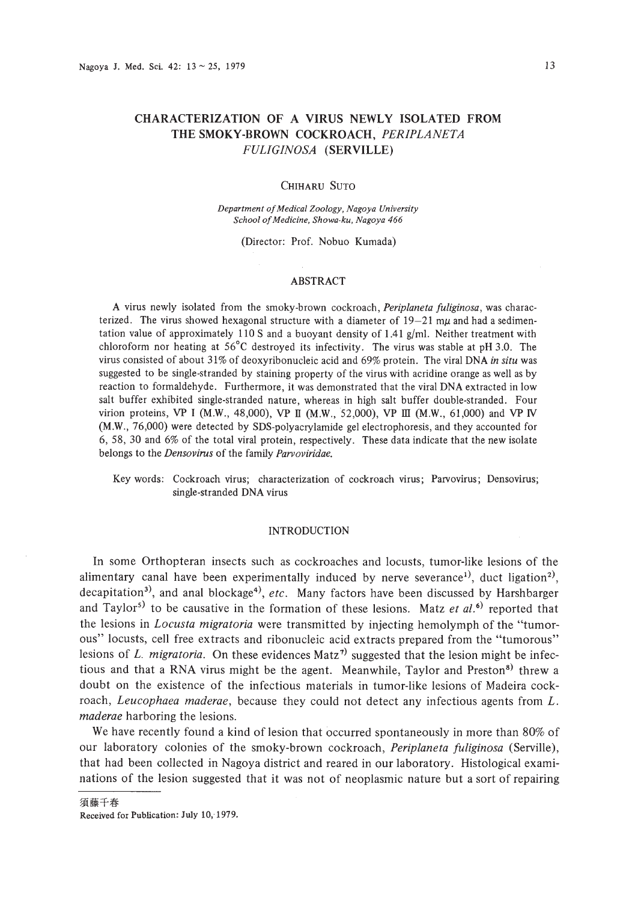# **CHARACTERIZATION OF A VIRUS NEWLY ISOLATED FROM THE SMOKY-BROWN COCKROACH,** *PERIPLANETA FULIGINOSA* **(SERVILLE)**

#### CHIHARU SUTO

*Department ofMedical Zoology. Nagoya University School ofMedicine, Showa-ku. Nagoya 466*

(Director: Prof. Nobuo Kumada)

# ABSTRACT

A virus newly isolated from the smoky-brown cockroach, *Periplaneta fuliginosa,* was characterized. The virus showed hexagonal structure with a diameter of  $19-21$  m $\mu$  and had a sedimentation value of approximately 110 S and a buoyant density of 1.41 *g/m!.* Neither treatment with chloroform nor heating at 56°C destroyed its infectivity. The virus was stable at pH 3.0. The virus consisted of about 31% of deoxyribonucleic acid and 69% protein. The viral DNA *in situ* was suggested to be single-stranded by staining property of the virus with acridine orange as well as by reaction to formaldehyde. Furthermore, it was demonstrated that the viral DNA extracted in low salt buffer exhibited single·stranded nature, whereas in high salt buffer double-stranded. Four virion proteins, VP I (M.W., 48,000), VP II (M.W., 52,000), VP III (M.W., 61,000) and VP IV (MW., 76,000) were detected by SDS-polyacrylamide gel electrophoresis, and they accounted for 6, 58, 30 and 6% of the total viral protein, respectively. These data indicate that the new isolate belongs to the *Densovirus* of the family *Parvoviridae.*

Key words: Cockroach virus; characterization of cockroach virus; Parvovirus; Densovirus; single-stranded DNA virus

## INTRODUCTION

**In** some Orthopteran insects such as cockroaches and locusts, tumor-like lesions of the alimentary canal have been experimentally induced by nerve severance<sup>1)</sup>, duct ligation<sup>2)</sup>, decapitation<sup>3)</sup>, and anal blockage<sup>4)</sup>, *etc.* Many factors have been discussed by Harshbarger and Taylor<sup>5)</sup> to be causative in the formation of these lesions. Matz *et al.*<sup>6</sup> reported that the lesions in *Locusta migratoria* were transmitted by injecting hemolymph of the "tumorous" locusts, cell free extracts and ribonucleic acid extracts prepared from the "tumorous" lesions of L. *migratoria*. On these evidences  $\text{Matz}^{\eta}$  suggested that the lesion might be infectious and that a RNA virus might be the agent. Meanwhile, Taylor and Preston<sup>8</sup> threw a doubt on the existence of the infectious materials in tumor-like lesions of Madeira cockroach, *Leucophaea maderae,* because they could not detect any infectious agents from *L. maderae* harboring the lesions.

We have recently found a kind of lesion that occurred spontaneously in more than 80% of our laboratory colonies of the smoky-brown cockroach, *Periplaneta fuliginosa* (Serville), that had been collected in Nagoya district and reared in our laboratory. Histological examinations of the lesion suggested that it was not of neoplasmic nature but a sort of repairing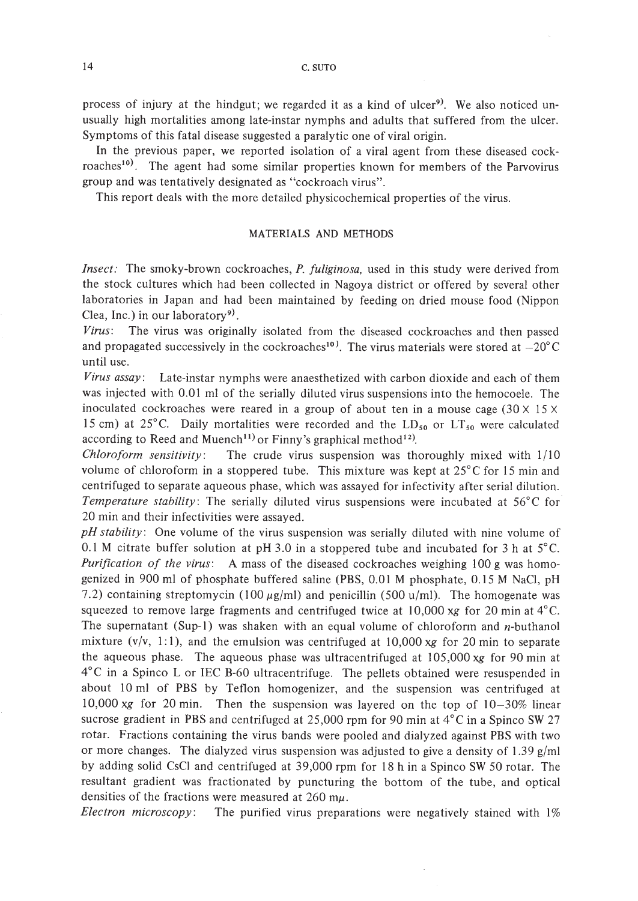14 C. SUTO

process of injury at the hindgut; we regarded it as a kind of ulcer<sup>9)</sup>. We also noticed unusually high mortalities among late-instar nymphs and adults that suffered from the ulcer. Symptoms of this fatal disease suggested a paralytic one of viral origin.

In the previous paper, we reported isolation of a viral agent from these diseased cockroaches<sup>10)</sup>. The agent had some similar properties known for members of the Parvovirus group and was tentatively designated as "cockroach virus".

This report deals with the more detailed physicochemical properties of the virus.

## MATERIALS AND METHODS

*Insect:* The smoky-brown cockroaches, *P. fuliginosa,* used in this study were derived from the stock cultures which had been collected in Nagoya district or offered by several other laboratories in Japan and had been maintained by feeding on dried mouse food (Nippon Clea, Inc.) in our laboratory<sup>9)</sup>.

*Virus:* The virus was originally isolated from the diseased cockroaches and then passed and propagated successively in the cockroaches<sup>10</sup>. The virus materials were stored at  $-20^{\circ}$ C until use.

*Virus assay:* Late-instar nymphs were anaesthetized with carbon dioxide and each of them was injected with 0.01 ml of the serially diluted virus suspensions into the hemocoele. The inoculated cockroaches were reared in a group of about ten in a mouse cage  $(30 \times 15 \times$ 15 cm) at 25°C. Daily mortalities were recorded and the  $LD_{50}$  or  $LT_{50}$  were calculated according to Reed and Muench<sup>11)</sup> or Finny's graphical method<sup>12)</sup>.

*Chloroform sensitivity*: The crude virus suspension was thoroughly mixed with  $1/10$ volume of chloroform in a stoppered tube. This mixture was kept at  $25^{\circ}$ C for 15 min and centrifuged to separate aqueous phase, which was assayed for infectivity after serial dilution. *Temperature stability:* The serially diluted virus suspensions were incubated at 56°C for 20 min and their infectivities were assayed.

*pH stability:* One volume of the virus suspension was serially diluted with nine volume of 0.1 M citrate buffer solution at pH 3.0 in a stoppered tube and incubated for 3 h at  $5^{\circ}$ C. *Purification of the virus:* A mass of the diseased cockroaches weighing 100 g was homogenized in 900 ml of phosphate buffered saline (PBS, 0.0 I M phosphate, 0.15 M NaCl, pH 7.2) containing streptomycin (100  $\mu$ g/ml) and penicillin (500 u/ml). The homogenate was squeezed to remove large fragments and centrifuged twice at  $10,000$  xg for 20 min at  $4^{\circ}$ C. The supernatant (Sup-1) was shaken with an equal volume of chloroform and  $n$ -buthanol mixture  $(v/v, 1:1)$ , and the emulsion was centrifuged at 10,000 xg for 20 min to separate the aqueous phase. The aqueous phase was ultracentrifuged at 105,000 *xg* for 90 min at  $4^{\circ}$ C in a Spinco L or IEC B-60 ultracentrifuge. The pellets obtained were resuspended in about 10 ml of PBS by Teflon homogenizer, and the suspension was centrifuged at 10,000 *xg* for 20 min. Then the suspension was layered on the top of 10-30% linear sucrose gradient in PBS and centrifuged at 25,000 rpm for 90 min at  $4^{\circ}$ C in a Spinco SW 27 rotar. Fractions containing the virus bands were pooled and dialyzed against PBS with two or more changes. The dialyzed virus suspension was adjusted to give a density of 1.39  $g/ml$ by adding solid CsCI and centrifuged at 39,000 rpm for 18 h in a Spinco SW 50 rotar. The resultant gradient was fractionated by puncturing the bottom of the tube, and optical densities of the fractions were measured at  $260 \text{ m}\mu$ .

*Electron microscopy:* The purified virus preparations were negatively stained with 1%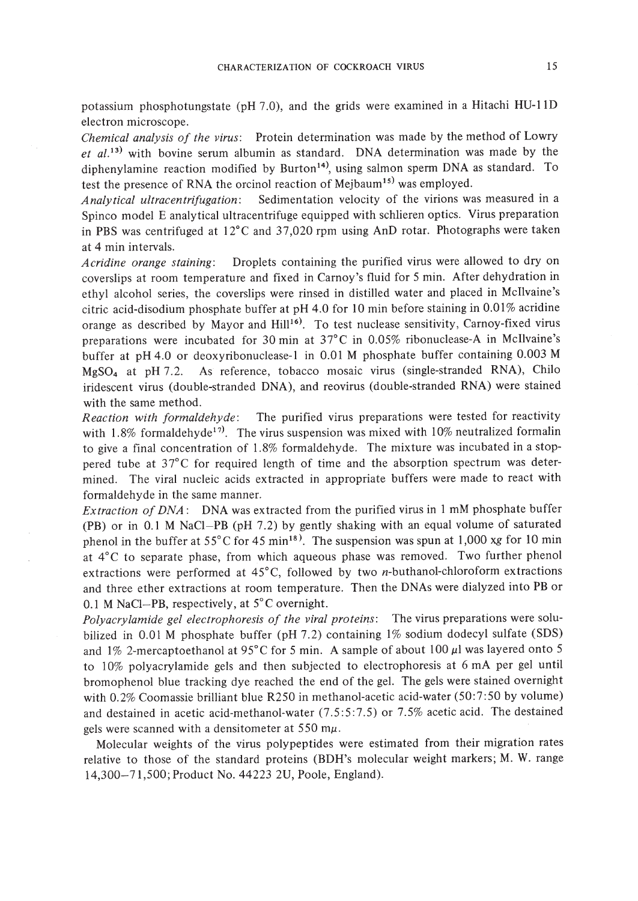potassium phosphotungstate (pH 7.0), and the grids were examined in a Hitachi HU-Il D electron microscope.

*Chemical analysis of the virus:* Protein determination was made by the method of Lowry *et al.* 13) with bovine serum albumin as standard. DNA determination was made by the diphenylamine reaction modified by Burton<sup>14)</sup>, using salmon sperm DNA as standard. To test the presence of RNA the orcinol reaction of Mejbaum<sup>15)</sup> was employed.

*Analytical ultracentrifugation:* Sedimentation velocity of the virions was measured in a Spinco model E analytical ultracentrifuge equipped with schlieren optics. Virus preparation in PBS was centrifuged at 12°C and 37,020 rpm using AnD rotar. Photographs were taken at 4 min intervals.

*Acridine orange staining:* Droplets containing the purified virus were allowed to dry on coverslips at room temperature and fixed in Carnoy's fluid for 5 min. After dehydration in ethyl alcohol series, the coverslips were rinsed in distilled water and placed in McIlvaine's citric acid-disodium phosphate buffer at pH 4.0 for 10 min before staining in 0.01% acridine orange as described by Mayor and Hill<sup>16)</sup>. To test nuclease sensitivity, Carnoy-fixed virus preparations were incubated for 30 min at 37°C in 0.05% ribonuclease-A in McIlvaine's buffer at pH 4.0 or deoxyribonuclease-I in 0.01 M phosphate buffer containing 0.003 M MgS04 at pH 7.2. As reference, tobacco mosaic virus (single-stranded RNA), Chilo iridescent virus (double-stranded DNA), and reovirus (double-stranded RNA) were stained with the same method.

*Reaction with formaldehyde:* The purified virus preparations were tested for reactivity with 1.8% formaldehyde<sup>17)</sup>. The virus suspension was mixed with 10% neutralized formalin to give a final concentration of 1.8% formaldehyde. The mixture was incubated in a stoppered tube at 37°C for required length of time and the absorption spectrum was determined. The viral nucleic acids extracted in appropriate buffers were made to react with formaldehyde in the same manner.

*Extraction of DNA*: DNA was extracted from the purified virus in 1 mM phosphate buffer (PB) or in 0.1 M NaCl-PB (pH 7.2) by gently shaking with an equal volume of saturated phenol in the buffer at  $55^{\circ}$ C for 45 min<sup>18)</sup>. The suspension was spun at 1,000 xg for 10 min at 4°C to separate phase, from which aqueous phase was removed. Two further phenol extractions were performed at 45°C, followed by two n-buthanol-chloroform extractions and three ether extractions at room temperature. Then the DNAs were dialyzed into PB or 0.1 M NaCl-PB, respectively, at S°C overnight.

*Polyacrylamide gel electrophoresis of the viral proteins:* The virus preparations were solubilized in 0.01 M phosphate buffer (pH 7.2) containing 1% sodium dodecyl sulfate (SDS) and 1% 2-mercaptoethanol at 95°C for 5 min. A sample of about 100  $\mu$ l was layered onto 5 to 10% polyacrylamide gels and then subjected to electrophoresis at 6 mA per gel until bromophenol blue tracking dye reached the end of the gel. The gels were stained overnight with 0.2% Coomassie brilliant blue R250 in methanol-acetic acid-water (50:7:50 by volume) and destained in acetic acid-methanol-water (7.5:5:7.5) or 7.5% acetic acid. The destained gels were scanned with a densitometer at  $550 \text{ m}\mu$ .

Molecular weights of the virus polypeptides were estimated from their migration rates relative to those of the standard proteins (BDH's molecular weight markers; M. W. range 14,300-71,500; Product No. 44223 *2V,* Poole, England).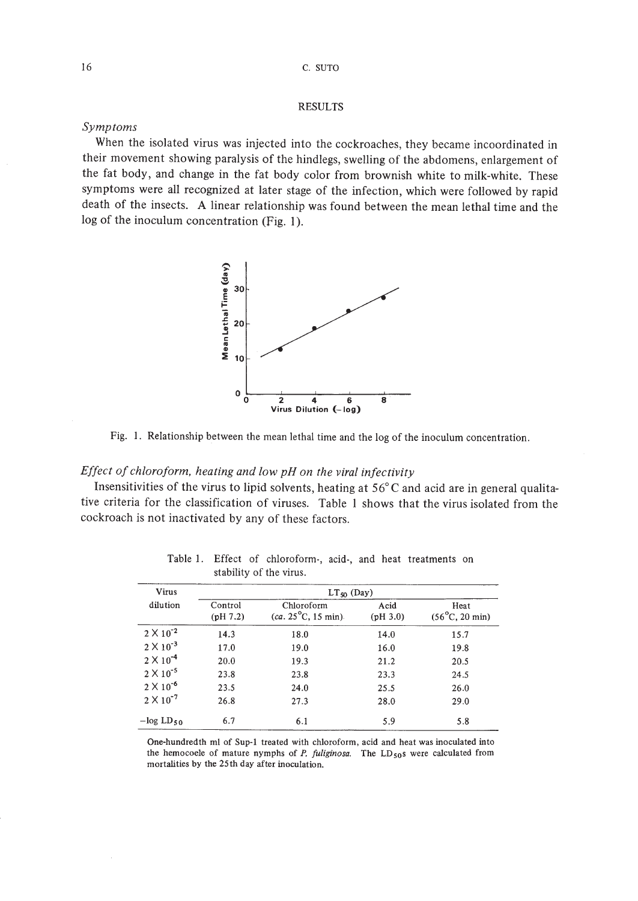## RESULTS

# *Symptoms*

When the isolated virus was injected into the cockroaches, they became incoordinated in their movement showing paralysis of the hindlegs, swelling of the abdomens, enlargement of the fat body, and change in the fat body color from brownish white to milk-white. These symptoms were all recognized at later stage of the infection, which were followed by rapid death of the insects. A linear relationship was found between the mean lethal time and the log of the inoculum concentration (Fig. 1).



Fig. I. Relationship between the mean lethal time and the log of the inoculum concentration.

# *Effect of chloroform. heating and low pH on the viral infectivity*

Insensitivities of the virus to lipid solvents, heating at  $56^{\circ}$ C and acid are in general qualitative criteria for the classification of viruses. Table I shows that the virus isolated from the cockroach is not inactivated by any of these factors.

| Virus              | $LT_{50}$ (Day)     |                                                    |                  |                                         |
|--------------------|---------------------|----------------------------------------------------|------------------|-----------------------------------------|
| dilution           | Control<br>(pH 7.2) | Chloroform<br>$(ca. 25^{\circ}C, 15 \text{ min}).$ | Acid<br>(pH 3.0) | Heat<br>$(56^{\circ}C, 20 \text{ min})$ |
| $2 \times 10^{-2}$ | 14.3                | 18.0                                               | 14.0             | 15.7                                    |
| $2 \times 10^{-3}$ | 17.0                | 19.0                                               | 16.0             | 19.8                                    |
| $2 \times 10^{-4}$ | 20.0                | 19.3                                               | 21.2             | 20.5                                    |
| $2 \times 10^{-5}$ | 23.8                | 23.8                                               | 23.3             | 24.5                                    |
| $2 \times 10^{-6}$ | 23.5                | 24.0                                               | 25.5             | 26.0                                    |
| $2 \times 10^{-7}$ | 26.8                | 27.3                                               | 28.0             | 29.0                                    |
| $-\log LD_{50}$    | 6.7                 | 6.1                                                | 5.9              | 5.8                                     |

Table I. Effect of chloroform-, acid-, and heat treatments on stability of the virus.

One-hundredth ml of Sup-I treated with chloroform, acid and heat was inoculated into the hemocoele of mature nymphs of  $P$ . *fuliginosa*. The  $LD_{50}s$  were calculated from mortalities by the 25th day after inoculation.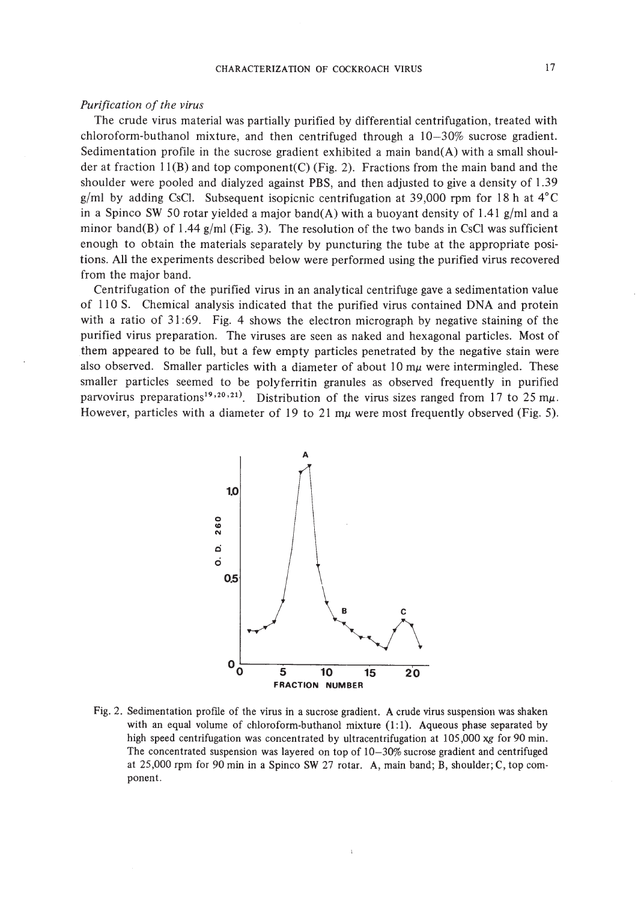### *Purification of the virus*

The crude virus material was partially purified by differential centrifugation, treated with chloroform-buthanol mixture, and then centrifuged through a 10-30% sucrose gradient. Sedimentation profile in the sucrose gradient exhibited a main band(A) with a small shoulder at fraction  $11(B)$  and top component(C) (Fig. 2). Fractions from the main band and the shoulder were pooled and dialyzed against PBS, and then adjusted to give a density of 1.39 g/ml by adding CsCl. Subsequent isopicnic centrifugation at 39,000 rpm for 18 h at  $4^{\circ}$ C in a Spineo SW 50 rotar yielded a major band(A) with a buoyant density of 1.41 *glml* and a minor band(B) of 1.44 *glml* (Fig. 3). The resolution of the two bands in CsCI was sufficient enough to obtain the materials separately by puncturing the tube at the appropriate positions. All the experiments described below were performed using the purified virus recovered from the major band.

Centrifugation of the purified virus in an analytical centrifuge gave a sedimentation value of 110 S. Chemical analysis indicated that the purified virus contained DNA and protein with a ratio of  $31:69$ . Fig. 4 shows the electron micrograph by negative staining of the purified virus preparation. The viruses are seen as naked and hexagonal particles. Most of them appeared to be full, but a few empty particles penetrated by the negative stain were also observed. Smaller particles with a diameter of about 10  $m\mu$  were intermingled. These smaller particles seemed to be polyferritin granules as observed frequently in purified parvovirus preparations<sup>19,20,21</sup>. Distribution of the virus sizes ranged from 17 to 25 m $\mu$ . However, particles with a diameter of 19 to 21  $m\mu$  were most frequently observed (Fig. 5).



Fig. 2. Sedimentation profile of the virus in a sucrose gradient. A crude virus suspension was shaken with an equal volume of chloroform-buthanol mixture  $(1:1)$ . Aqueous phase separated by high speed centrifugation was concentrated by ultracentrifugation at 105,000 *xg* for 90 min. The concentrated suspension was layered on top of 10-30% sucrose gradient and centrifuged at *25,000* rpm for 90 min in a Spinco SW 27 rotar. A, main band; B, shoulder; C, top com· ponent.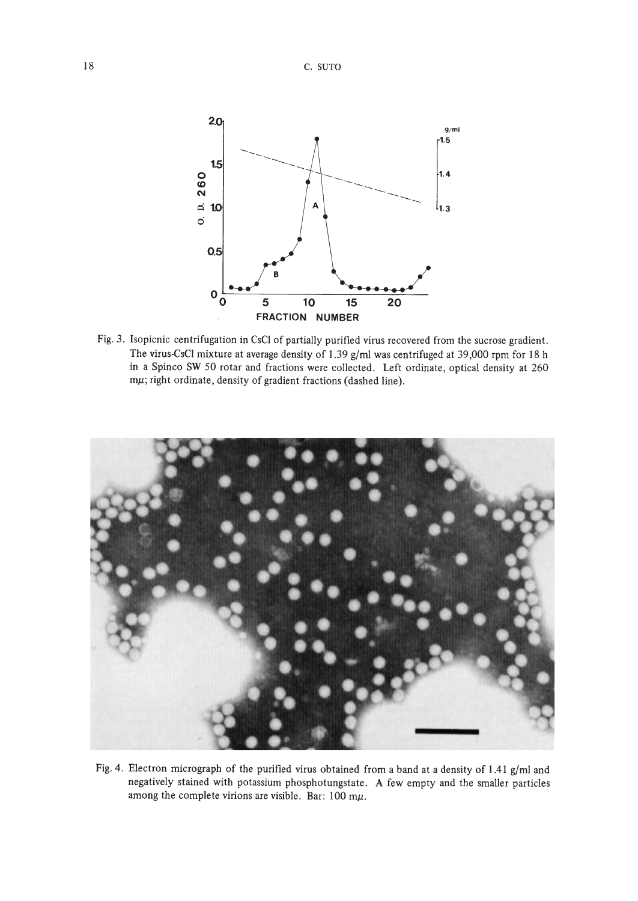

Fig. 3. Isopicnic centrifugation in CsC! of partially purified virus recovered from the sucrose gradient. The virus-CsC! mixture at average density of 1.39 g/m! was centrifuged at 39,000 rpm for 18 h in a Spinco SW 50 rotar and fractions were collected. Left ordinate, optical density at 260 mp; right ordinate, density of gradient fractions (dashed line).



Fig. 4. Electron micrograph of the purified virus obtained from a band at a density of 1.41 g/ml and negatively stained with potassium phosphotungstate. A few empty and the smaller particles among the complete virions are visible. Bar:  $100 \text{ m}\mu$ .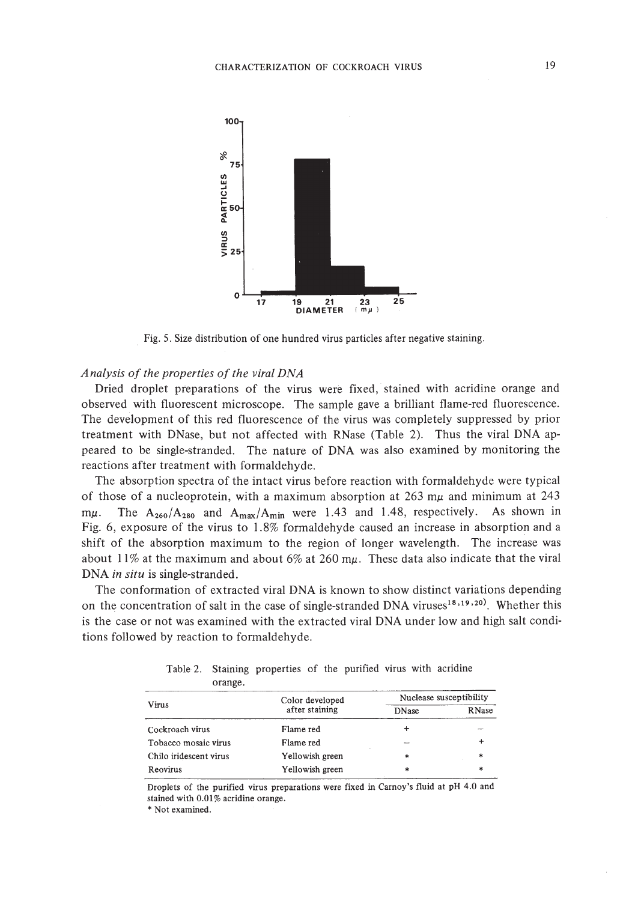

Fig. 5. Size distribution of one hundred virus particles after negative staining.

# *Analysis of the properties of the viral DNA*

Dried droplet preparations of the virus were fixed, stained with acridine orange and observed with fluorescent microscope. The sample gave a brilliant flame-red fluorescence. The development of this red fluorescence of the virus was completely suppressed by prior treatment with DNase, but not affected with RNase (Table 2). Thus the viral DNA appeared to be single-stranded. The nature of DNA was also examined by monitoring the reactions after treatment with formaldehyde.

The absorption spectra of the intact virus before reaction with formaldehyde were typical of those of a nucleoprotein, with a maximum absorption at 263 m $\mu$  and minimum at 243 m $\mu$ . The A<sub>260</sub>/A<sub>280</sub> and A<sub>max</sub>/A<sub>min</sub> were 1.43 and 1.48, respectively. As shown in Fig. 6, exposure of the virus to 1.8% formaldehyde caused an increase in absorption and a shift of the absorption maximum to the region of longer wavelength. The increase was about 11% at the maximum and about 6% at 260 m $\mu$ . These data also indicate that the viral DNA *in situ* is single-stranded.

The conformation of extracted viral DNA is known to show distinct variations depending on the concentration of salt in the case of single-stranded DNA viruses<sup>18,19,20</sup>. Whether this is the case or not was examined with the extracted viral DNA under low and high salt conditions followed by reaction to formaldehyde.

| $-1$ , $-1$            |                 |                         |               |
|------------------------|-----------------|-------------------------|---------------|
|                        | Color developed | Nuclease susceptibility |               |
| Virus                  | after staining  | <b>DNase</b>            | <b>R</b> Nase |
| Cockroach virus        | Flame red       |                         |               |
| Tobacco mosaic virus   | Flame red       |                         |               |
| Chilo iridescent virus | Yellowish green | *                       | *             |
| Reovirus               | Yellowish green | *                       | ж             |

Table 2. Staining properties of the purified virus with acridine orange.

Droplets of the purified virus preparations were fixed in Carnoy's fluid at pH 4.0 and stained with 0.01% acridine orange.

\* Not examined.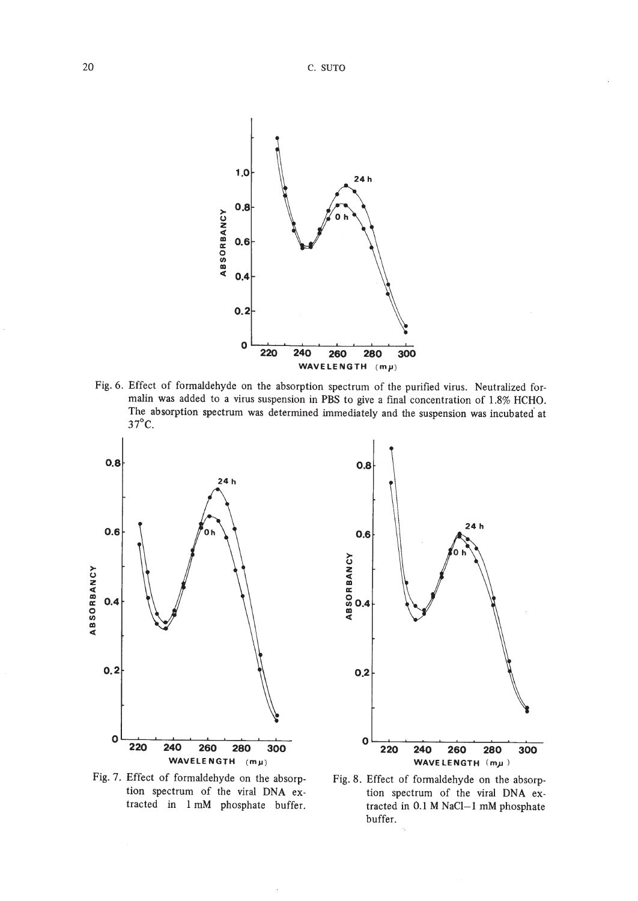

Fig. 6. Effect of formaldehyde on the absorption spectrum of the purified virus. Neutralized formalin was added to a virus suspension in PBS to give a final concentration of 1.8% HCHO. The absorption spectrum was determined immediately and the suspension was incubated at 37°C.





Fig. 7. Effect of formaldehyde on the absorption spectrum of the viral DNA extracted in I mM phosphate buffer.

Fig. 8. Effect of formaldehyde on the absorption spectrum of the viral DNA extracted in 0.1 M NaCI-I mM phosphate buffer.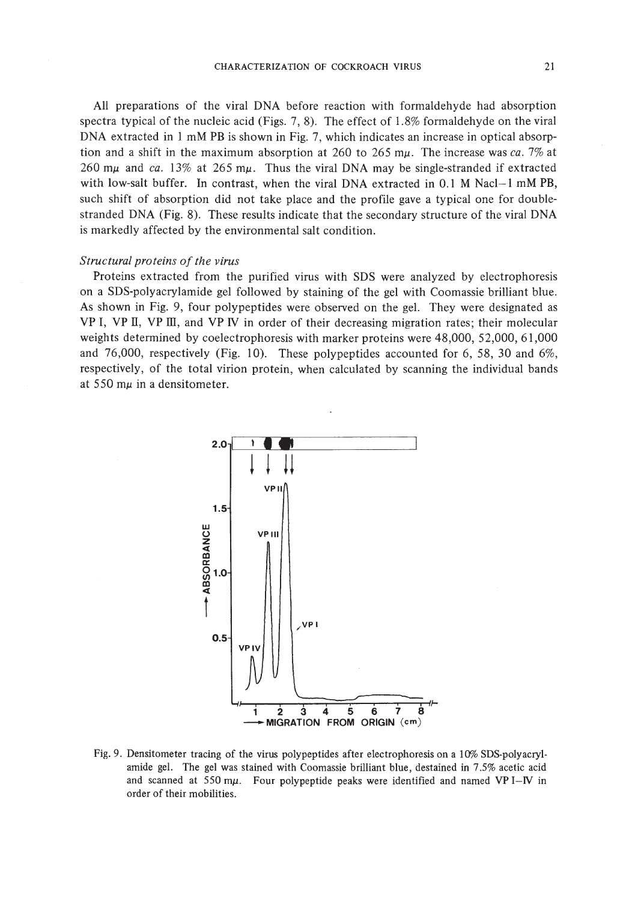All preparations of the viral DNA before reaction with formaldehyde had absorption spectra typical of the nucleic acid (Figs. 7, 8). The effect of 1.8% formaldehyde on the viral DNA extracted in I mM PB is shown in Fig. 7, which indicates an increase in optical absorption and a shift in the maximum absorption at 260 to 265 m $\mu$ . The increase was ca. 7% at 260 m $\mu$  and ca. 13% at 265 m $\mu$ . Thus the viral DNA may be single-stranded if extracted with low-salt buffer. In contrast, when the viral DNA extracted in 0.1 M Nacl-I mM PB, such shift of absorption did not take place and the profile gave a typical one for doublestranded DNA (Fig. 8). These results indicate that the secondary structure of the viral DNA is markedly affected by the environmental salt condition.

### *Structural proteins of the virus*

Proteins extracted from the purified virus with SDS were analyzed by electrophoresis on a SDS-polyacrylamide gel followed by staining of the gel with Coomassie brilliant blue. As shown in Fig. 9, four polypeptides were observed on the gel. They were designated as VP I, VP II, VP ill, and VP *N* in order of their decreasing migration rates; their molecular weights determined by coelectrophoresis with marker proteins were 48,000, 52,000, 61,000 and 76,000, respectively (Fig. 10). These polypeptides accounted for 6, 58, 30 and 6%, respectively, of the total virion protein, when calculated by scanning the individual bands at 550 m $\mu$  in a densitometer.



Fig. 9. Densitometer tracing of the virus polypeptides after electrophoresis on a 10% SDS-polyacrylamide gel. The gel was stained with Coomassie brilliant blue, destained in 7.5% acetic acid and scanned at 550 m $\mu$ . Four polypeptide peaks were identified and named VP I-IV in order of their mobilities.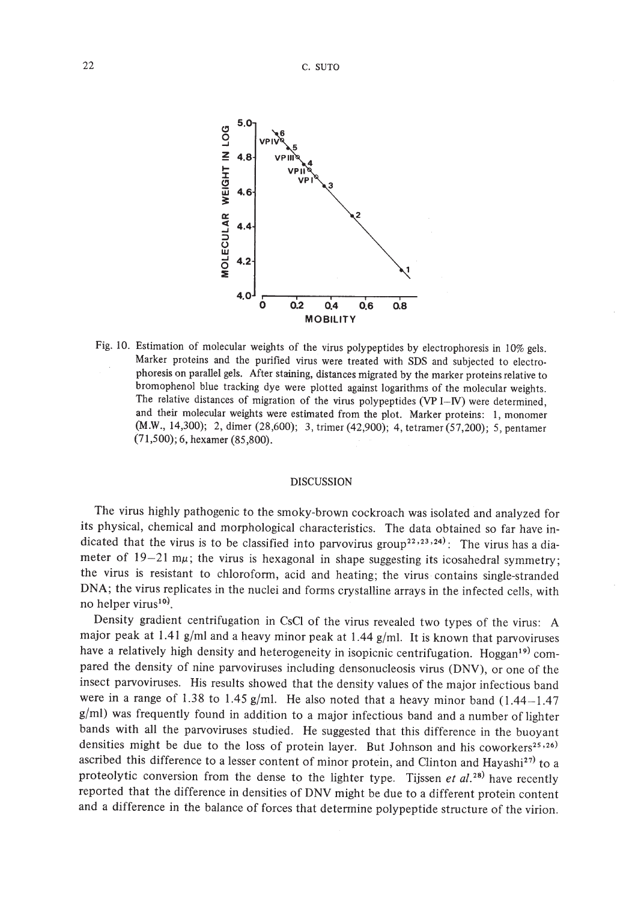

Fig. 10. Estimation of molecular weights of the virus polypeptides by electrophoresis in 10% gels. Marker proteins and the purified virus were treated with SDS and subjected to electrophoresis on parallel gels. After staining, distances migrated by the marker proteins relative to bromophenol blue tracking dye were plotted against logarithms of the molecular weights. The relative distances of migration of the virus polypeptides (VP  $I-N$ ) were determined, and their molecular weights were estimated from the plot. Marker proteins: I, monomer (M.W., 14,300); 2, dimer (28,600); 3, trimer (42,900); 4, tetramer (57,200); 5, pentamer (71,500); 6, hexamer (85,800).

### DISCUSSION

The virus highly pathogenic to the smoky-brown cockroach was isolated and analyzed for its physical, chemical and morphological characteristics. The data obtained so far have indicated that the virus is to be classified into parvovirus group<sup>22,23,24)</sup>: The virus has a diameter of  $19-21$  m $\mu$ ; the virus is hexagonal in shape suggesting its icosahedral symmetry; the virus is resistant to chloroform, acid and heating; the virus contains single-stranded DNA; the virus replicates in the nuclei and forms crystalline arrays in the infected cells, with no helper virus<sup>10</sup>.

Density gradient centrifugation in CsCI of the virus revealed two types of the virus: A major peak at 1.41 *glml* and a heavy minor peak at 1.44 *g/mI.* It is known that parvoviruses have a relatively high density and heterogeneity in isopicnic centrifugation. Hoggan<sup>19)</sup> compared the density of nine parvoviruses including densonucleosis virus (DNV), or one of the insect parvoviruses. His results showed that the density values of the major infectious band were in a range of 1.38 to 1.45 g/ml. He also noted that a heavy minor band (1.44-1.47 *g/m!)* was frequently found in addition to a major infectious band and a number of lighter bands with all the parvoviruses studied. He suggested that this difference in the buoyant densities might be due to the loss of protein layer. But Johnson and his coworkers<sup>25,26)</sup> ascribed this difference to a lesser content of minor protein, and Clinton and Hayashi<sup>27)</sup> to a proteolytic conversion from the dense to the lighter type. Tijssen *et al. 28)* have recently reported that the difference in densities of DNV might be due to a different protein content and a difference in the balance of forces that determine polypeptide structure of the virion.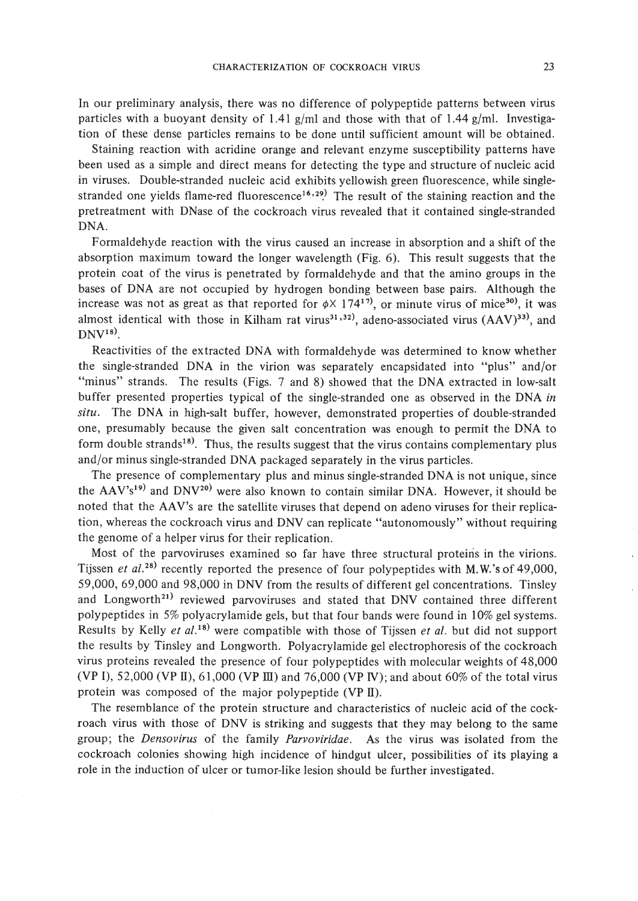In our preliminary analysis, there was no difference of polypeptide patterns between virus particles with a buoyant density of 1.41 *glml* and those with that of 1.44 g/m!. Investigation of these dense particles remains to bedone until sufficient amount will be obtained.

Staining reaction with acridine orange and relevant enzyme susceptibility patterns have been used as a simple and direct means for detecting the type and structure of nucleic acid in viruses. Double-stranded nucleic acid exhibits yellowish green fluorescence, while singlestranded one yields flame-red fluorescence<sup>16,29</sup>. The result of the staining reaction and the pretreatment with DNase of the cockroach virus revealed that it contained single-stranded DNA.

Formaldehyde reaction with the virus caused an increase in absorption and a shift of the absorption maximum toward the longer wavelength (Fig. 6). This result suggests that the protein coat of the virus is penetrated by formaldehyde and that the amino groups in the bases of DNA are not occupied by hydrogen bonding between base pairs. Although the increase was not as great as that reported for  $\phi \times 174^{17}$ , or minute virus of mice<sup>30</sup>), it was almost identical with those in Kilham rat virus<sup>31,32)</sup>, adeno-associated virus  $(AAV)^{33}$ , and  $DNV<sup>18</sup>$ .

Reactivities of the extracted DNA with formaldehyde was determined to know whether the single-stranded DNA in the virion was separately encapsidated into "plus" and/or "minus" strands. The results (Figs. 7 and 8) showed that the DNA extracted in low-salt buffer presented properties typical of the single-stranded one as observed in the DNA *in situ.* The DNA in high-salt buffer, however, demonstrated properties of double-stranded one, presumably because the given salt concentration was enough to permit the DNA to form double strands<sup>18)</sup>. Thus, the results suggest that the virus contains complementary plus and/or minus single-stranded DNA packaged separately in the virus particles.

The presence of complementary plus and minus single-stranded DNA is not unique, since the  $AAV's^{19}$  and  $DNV^{20}$  were also known to contain similar DNA. However, it should be noted that the AAV's are the satellite viruses that depend on adeno viruses for their replication, whereas the cockroach virus and DNV can replicate "autonomously" without requiring the genome of a helper virus for their replication.

Most of the parvoviruses examined so far have three structural proteins in the virions. Tijssen *et al.*<sup>28</sup> recently reported the presence of four polypeptides with M.W.'s of 49,000, 59,000,69,000 and 98,000 in DNV from the results of different gel concentrations. Tinsley and Longworth<sup>21)</sup> reviewed parvoviruses and stated that DNV contained three different polypeptides in 5% polyacrylamide gels, but that four bands were found in 10% gel systems. Results by Kelly *et al.* 1s) were compatible with those of Tijssen *et al.* but did not support the results by Tinsley and Longworth. Polyacrylamide gel electrophoresis of the cockroach virus proteins revealed the presence of four polypeptides with molecular weights of 48,000 (VP I), 52,000 (VP II), 61,000 (VP III) and 76,000 (VP IV); and about 60% of the total virus protein was composed of the major polypeptide (VP II).

The resemblance of the protein structure and characteristics of nucleic acid of the cockroach virus with those of DNV is striking and suggests that they may belong to the same group; the *Densovirus* of the family *Parvoviridae.* As the virus was isolated from the cockroach colonies showing high incidence of hindgut ulcer, possibilities of its playing a role in the induction of ulcer or tumor-like lesion should be further investigated.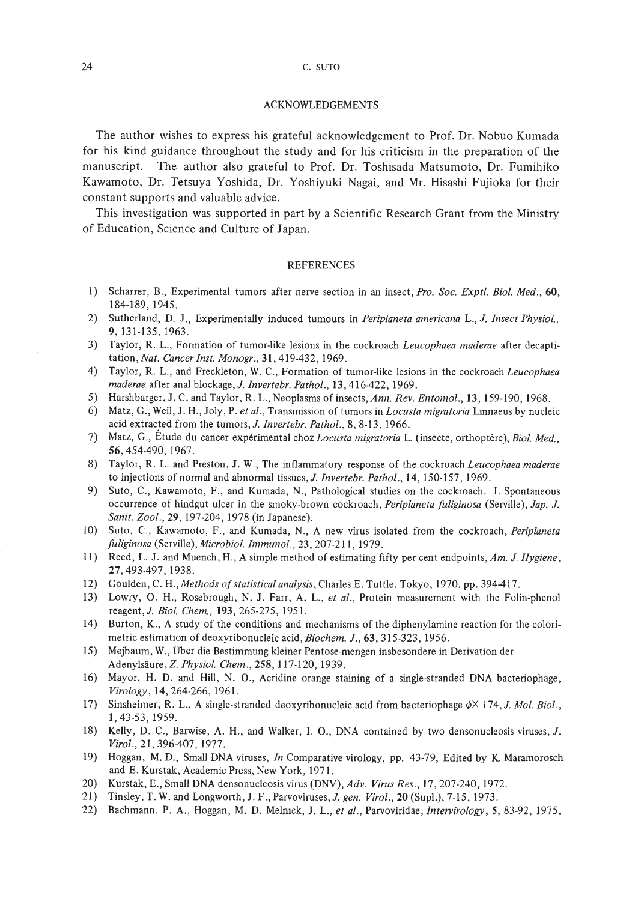## ACKNOWLEDGEMENTS

The author wishes to express his grateful acknowledgement to Prof. Dr. Nobuo Kumada for his kind guidance throughout the study and for his criticism in the preparation of the manuscript. The author also grateful to Prof. Dr. Toshisada Matsumoto, Dr. Fumihiko Kawamoto, Dr. Tetsuya Yoshida, Dr. Yoshiyuki Nagai, and Mr. Hisashi Fujioka for their constant supports and valuable advice.

This investigation was supported in part by a Scientific Research Grant from the Ministry of Education, Science and Culture of Japan.

### REFERENCES

- 1) Scharrer, B., Experimental tumors after nerve section in an insect, *Pro. Soc. Exptl. Bioi. Med., 60,* 184-189,1945.
- 2) Sutherland, D. J., Experimentally induced tumours in *Periplaneta americana* L., *J. Insect Physiol.,* 9,131-135,1963.
- 3) Taylor, R. L., Formation of tumor-like lesions in the cockroach *Leucophaea maderae* after decaptitation, *Nat. Cancer Inst. Monogr.,* 31,419-432, 1969.
- 4) Taylor, R. L., and Freckleton, W. C., Formation of tumor-like lesions in the cockroach *Leucophaea maderae* after anal blockage, *J. Invertebr. Pathol.,* 13,416-422, 1969.
- 5) Harshbarger, J. C. and Taylor, R. L., Neoplasms of insects, *Ann. Rev. Entomol.,* 13, 159-190, 1968.
- 6) Matz, G., Weil, J. H., Joly, P. *et al.,* Transmission of tumors in *Locusta migratoria* Linnaeus by nucleic acid extracted from the tumors,J. *Invertebr. Pathol.,* 8, 8·13,1966.
- 7) Matz, G., Etude du cancer experimental choz *Locusta migratoria* L. (insecte, orthoptere), *Bioi. Med.,* 56,454-490, 1967.
- 8) Taylor, R. L. and Preston, J. W., The inflammatory response of the cockroach *Leucophaea maderae* to injections of normal and abnormal tissues,]. *Invertebr. Pathol.,* 14, 150-157, 1969.
- 9) Suto, C., Kawamoto, F., and Kumada, N., Pathological studies on the cockroach. I. Spontaneous occurrence of hindgut ulcer in the smoky-brown cockroach, *Periplaneta fuliginosa* (Serville), *Jap. J. Sanit. Zool.,* 29, 197-204, 1978 (in Japanese).
- 10) Suto, C., Kawamoto, F., and Kumada, N., A new virus isolated from the cockroach, *Periplaneta fuliginosa* (Serville), *Microbiol. Immunol.,* 23, 207-211,1979.
- 11) Reed, L. J. and Muench, H., A simple method of estimating fifty per cent endpoints, *Am. J. Hygiene,* 27,493-497,1938.
- 12) Goulden, C. H., *Methods ofstatistical analysis,* Charles E. Tuttle, Tokyo, 1970, pp. 394-417.
- 13) Lowry, O. H., Rosebrough, N. J. Farr, A. L., *et al.,* Protein measurement with the Folin-phenol reagent,J. *Bioi. Chem.,* 193,265-275,1951.
- 14) Burton, K., A study of the conditions and mechanisms of the diphenylamine reaction for the colorimetric estimation of deoxyribonucleic acid, *Biochem. J.,* 63, 315-323, 1956.
- 15) Mejbaum, W., Uber die Bestimmung kleiner Pentose-mengen insbesondere in Derivation der Adenylsaure, Z. *Physiol. Chem.,* 258,117·120,1939.
- 16) Mayor, H. D. and Hill, N. 0., Acridine orange staining of a single-stranded DNA bacteriophage, *Virology,* 14,264-266,1961.
- 17) Sinsheimer, R. L., A single-stranded deoxyribonucleic acid from bacteriophage  $\phi \times$  174, *J. Mol. Biol.*, **1,43-53,1959.**
- 18) Kelly, D. C., Barwise, A. H., and Walker, I. O., DNA contained by two densonucleosis viruses, J. *Virol.,* 21,396-407,1977.
- 19) Hoggan, M. D., Small DNA viruses, *In* Comparative virology, pp. 43-79, Edited by K. Maramorosch and E. Kurstak, Academic Press, New York, 1971.
- 20) Kurstak, E., Small DNA densonucleosis virus (DNV), *Adv. Virus Res.,* 17,207-240, 1972.
- 21) Tinsley, T. W. and Longworth, J. F., Parvoviruses, *J. gen. Virol.,* 20 (Sup!.), 7·15,1973.
- 22) Bachmann, P. A., Hoggan, M. D. Melnick, 1. L., *et al.,* Parvoviridae, *Intervirology,* 5, 83-92, 1975.